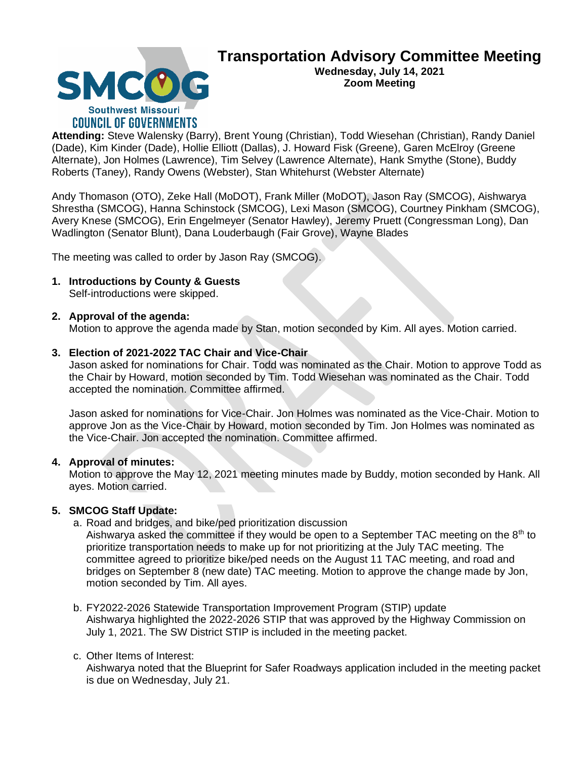

# **Transportation Advisory Committee Meeting**

**Wednesday, July 14, 2021 Zoom Meeting**

**Attending:** Steve Walensky (Barry), Brent Young (Christian), Todd Wiesehan (Christian), Randy Daniel (Dade), Kim Kinder (Dade), Hollie Elliott (Dallas), J. Howard Fisk (Greene), Garen McElroy (Greene Alternate), Jon Holmes (Lawrence), Tim Selvey (Lawrence Alternate), Hank Smythe (Stone), Buddy Roberts (Taney), Randy Owens (Webster), Stan Whitehurst (Webster Alternate)

Andy Thomason (OTO), Zeke Hall (MoDOT), Frank Miller (MoDOT), Jason Ray (SMCOG), Aishwarya Shrestha (SMCOG), Hanna Schinstock (SMCOG), Lexi Mason (SMCOG), Courtney Pinkham (SMCOG), Avery Knese (SMCOG), Erin Engelmeyer (Senator Hawley), Jeremy Pruett (Congressman Long), Dan Wadlington (Senator Blunt), Dana Louderbaugh (Fair Grove), Wayne Blades

The meeting was called to order by Jason Ray (SMCOG).

**1. Introductions by County & Guests** Self-introductions were skipped.

# **2. Approval of the agenda:**

Motion to approve the agenda made by Stan, motion seconded by Kim. All ayes. Motion carried.

# **3. Election of 2021-2022 TAC Chair and Vice-Chair**

Jason asked for nominations for Chair. Todd was nominated as the Chair. Motion to approve Todd as the Chair by Howard, motion seconded by Tim. Todd Wiesehan was nominated as the Chair. Todd accepted the nomination. Committee affirmed.

Jason asked for nominations for Vice-Chair. Jon Holmes was nominated as the Vice-Chair. Motion to approve Jon as the Vice-Chair by Howard, motion seconded by Tim. Jon Holmes was nominated as the Vice-Chair. Jon accepted the nomination. Committee affirmed.

## **4. Approval of minutes:**

Motion to approve the May 12, 2021 meeting minutes made by Buddy, motion seconded by Hank. All ayes. Motion carried.

# **5. SMCOG Staff Update:**

a. Road and bridges, and bike/ped prioritization discussion

Aishwarya asked the committee if they would be open to a September TAC meeting on the  $8<sup>th</sup>$  to prioritize transportation needs to make up for not prioritizing at the July TAC meeting. The committee agreed to prioritize bike/ped needs on the August 11 TAC meeting, and road and bridges on September 8 (new date) TAC meeting. Motion to approve the change made by Jon, motion seconded by Tim. All ayes.

b. FY2022-2026 Statewide Transportation Improvement Program (STIP) update Aishwarya highlighted the 2022-2026 STIP that was approved by the Highway Commission on July 1, 2021. The SW District STIP is included in the meeting packet.

#### c. Other Items of Interest:

Aishwarya noted that the Blueprint for Safer Roadways application included in the meeting packet is due on Wednesday, July 21.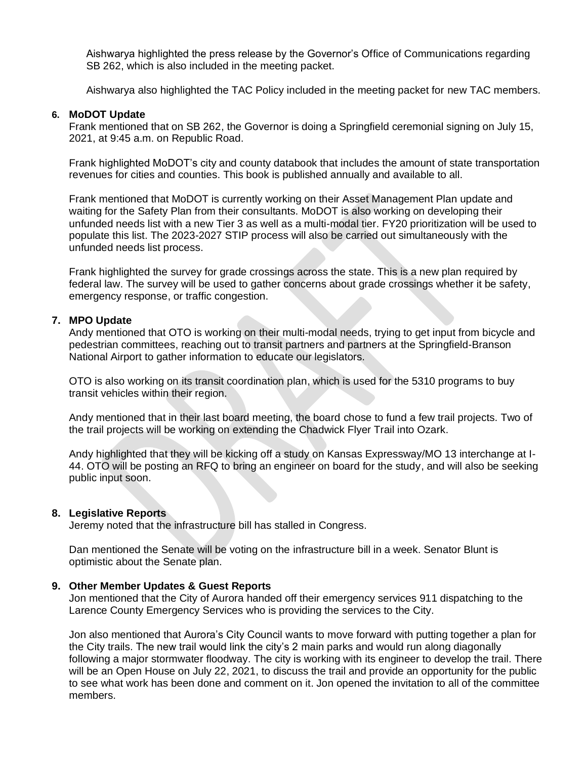Aishwarya highlighted the press release by the Governor's Office of Communications regarding SB 262, which is also included in the meeting packet.

Aishwarya also highlighted the TAC Policy included in the meeting packet for new TAC members.

## **6. MoDOT Update**

Frank mentioned that on SB 262, the Governor is doing a Springfield ceremonial signing on July 15, 2021, at 9:45 a.m. on Republic Road.

Frank highlighted MoDOT's city and county databook that includes the amount of state transportation revenues for cities and counties. This book is published annually and available to all.

Frank mentioned that MoDOT is currently working on their Asset Management Plan update and waiting for the Safety Plan from their consultants. MoDOT is also working on developing their unfunded needs list with a new Tier 3 as well as a multi-modal tier. FY20 prioritization will be used to populate this list. The 2023-2027 STIP process will also be carried out simultaneously with the unfunded needs list process.

Frank highlighted the survey for grade crossings across the state. This is a new plan required by federal law. The survey will be used to gather concerns about grade crossings whether it be safety, emergency response, or traffic congestion.

## **7. MPO Update**

Andy mentioned that OTO is working on their multi-modal needs, trying to get input from bicycle and pedestrian committees, reaching out to transit partners and partners at the Springfield-Branson National Airport to gather information to educate our legislators.

OTO is also working on its transit coordination plan, which is used for the 5310 programs to buy transit vehicles within their region.

Andy mentioned that in their last board meeting, the board chose to fund a few trail projects. Two of the trail projects will be working on extending the Chadwick Flyer Trail into Ozark.

Andy highlighted that they will be kicking off a study on Kansas Expressway/MO 13 interchange at I-44. OTO will be posting an RFQ to bring an engineer on board for the study, and will also be seeking public input soon.

#### **8. Legislative Reports**

Jeremy noted that the infrastructure bill has stalled in Congress.

Dan mentioned the Senate will be voting on the infrastructure bill in a week. Senator Blunt is optimistic about the Senate plan.

#### **9. Other Member Updates & Guest Reports**

Jon mentioned that the City of Aurora handed off their emergency services 911 dispatching to the Larence County Emergency Services who is providing the services to the City.

Jon also mentioned that Aurora's City Council wants to move forward with putting together a plan for the City trails. The new trail would link the city's 2 main parks and would run along diagonally following a major stormwater floodway. The city is working with its engineer to develop the trail. There will be an Open House on July 22, 2021, to discuss the trail and provide an opportunity for the public to see what work has been done and comment on it. Jon opened the invitation to all of the committee members.